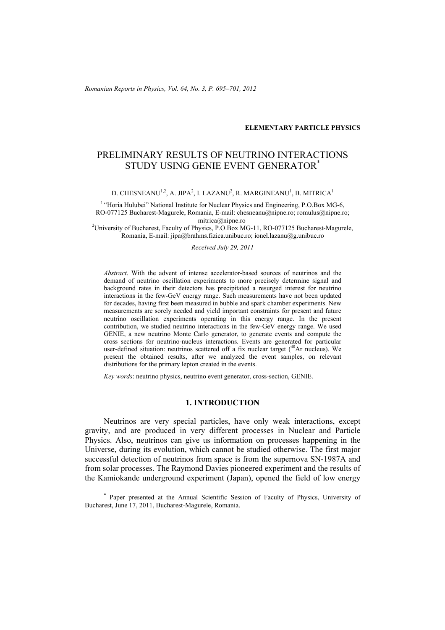*Romanian Reports in Physics, Vol. 64, No. 3, P. 695–701, 2012*

## **ELEMENTARY PARTICLE PHYSICS**

# PRELIMINARY RESULTS OF NEUTRINO INTERACTIONS STUDY USING GENIE EVENT GENERATOR\*

D. CHESNEANU<sup>1,2</sup>, A. JIPA<sup>2</sup>, I. LAZANU<sup>2</sup>, R. MARGINEANU<sup>1</sup>, B. MITRICA<sup>1</sup>

<sup>1</sup> "Horia Hulubei" National Institute for Nuclear Physics and Engineering, P.O.Box MG-6, RO-077125 Bucharest-Magurele, Romania, E-mail: chesneanu@nipne.ro; romulus@nipne.ro;

mitrica@nipne.ro<br><sup>2</sup> University of Bucharest, Faculty of Physics, P.O.Box MG-11, RO-077125 Bucharest-Magurele, Romania, E-mail: jipa@brahms.fizica.unibuc.ro; ionel.lazanu@g.unibuc.ro

*Received July 29, 2011* 

*Abstract*. With the advent of intense accelerator-based sources of neutrinos and the demand of neutrino oscillation experiments to more precisely determine signal and background rates in their detectors has precipitated a resurged interest for neutrino interactions in the few-GeV energy range. Such measurements have not been updated for decades, having first been measured in bubble and spark chamber experiments. New measurements are sorely needed and yield important constraints for present and future neutrino oscillation experiments operating in this energy range. In the present contribution, we studied neutrino interactions in the few-GeV energy range. We used GENIE, a new neutrino Monte Carlo generator, to generate events and compute the cross sections for neutrino-nucleus interactions. Events are generated for particular user-defined situation: neutrinos scattered off a fix nuclear target  $(^{40}Ar$  nucleus). We present the obtained results, after we analyzed the event samples, on relevant distributions for the primary lepton created in the events.

*Key words*: neutrino physics, neutrino event generator, cross-section, GENIE.

## **1. INTRODUCTION**

Neutrinos are very special particles, have only weak interactions, except gravity, and are produced in very different processes in Nuclear and Particle Physics. Also, neutrinos can give us information on processes happening in the Universe, during its evolution, which cannot be studied otherwise. The first major successful detection of neutrinos from space is from the supernova SN-1987A and from solar processes. The Raymond Davies pioneered experiment and the results of the Kamiokande underground experiment (Japan), opened the field of low energy

\* Paper presented at the Annual Scientific Session of Faculty of Physics, University of Bucharest, June 17, 2011, Bucharest-Magurele, Romania.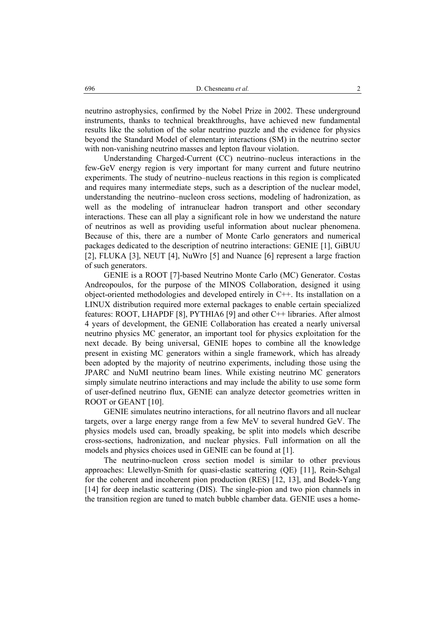neutrino astrophysics, confirmed by the Nobel Prize in 2002. These underground instruments, thanks to technical breakthroughs, have achieved new fundamental results like the solution of the solar neutrino puzzle and the evidence for physics beyond the Standard Model of elementary interactions (SM) in the neutrino sector with non-vanishing neutrino masses and lepton flavour violation.

Understanding Charged-Current (CC) neutrino–nucleus interactions in the few-GeV energy region is very important for many current and future neutrino experiments. The study of neutrino–nucleus reactions in this region is complicated and requires many intermediate steps, such as a description of the nuclear model, understanding the neutrino–nucleon cross sections, modeling of hadronization, as well as the modeling of intranuclear hadron transport and other secondary interactions. These can all play a significant role in how we understand the nature of neutrinos as well as providing useful information about nuclear phenomena. Because of this, there are a number of Monte Carlo generators and numerical packages dedicated to the description of neutrino interactions: GENIE [1], GiBUU [2], FLUKA [3], NEUT [4], NuWro [5] and Nuance [6] represent a large fraction of such generators.

GENIE is a ROOT [7]-based Neutrino Monte Carlo (MC) Generator. Costas Andreopoulos, for the purpose of the MINOS Collaboration, designed it using object-oriented methodologies and developed entirely in C++. Its installation on a LINUX distribution required more external packages to enable certain specialized features: ROOT, LHAPDF [8], PYTHIA6 [9] and other C++ libraries. After almost 4 years of development, the GENIE Collaboration has created a nearly universal neutrino physics MC generator, an important tool for physics exploitation for the next decade. By being universal, GENIE hopes to combine all the knowledge present in existing MC generators within a single framework, which has already been adopted by the majority of neutrino experiments, including those using the JPARC and NuMI neutrino beam lines. While existing neutrino MC generators simply simulate neutrino interactions and may include the ability to use some form of user-defined neutrino flux, GENIE can analyze detector geometries written in ROOT or GEANT [10].

GENIE simulates neutrino interactions, for all neutrino flavors and all nuclear targets, over a large energy range from a few MeV to several hundred GeV. The physics models used can, broadly speaking, be split into models which describe cross-sections, hadronization, and nuclear physics. Full information on all the models and physics choices used in GENIE can be found at [1].

The neutrino-nucleon cross section model is similar to other previous approaches: Llewellyn-Smith for quasi-elastic scattering (QE) [11], Rein-Sehgal for the coherent and incoherent pion production (RES) [12, 13], and Bodek-Yang [14] for deep inelastic scattering (DIS). The single-pion and two pion channels in the transition region are tuned to match bubble chamber data. GENIE uses a home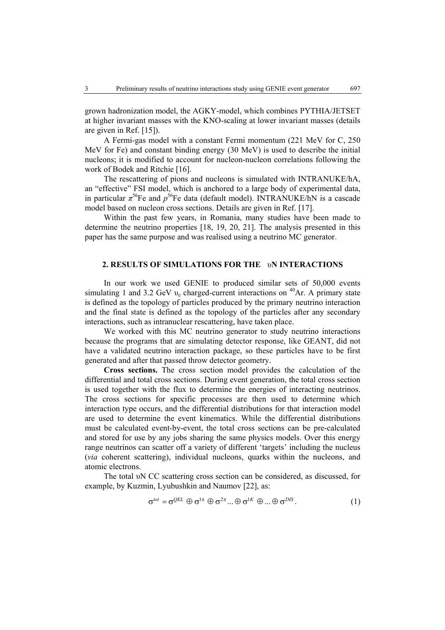grown hadronization model, the AGKY-model, which combines PYTHIA/JETSET at higher invariant masses with the KNO-scaling at lower invariant masses (details are given in Ref. [15]).

A Fermi-gas model with a constant Fermi momentum (221 MeV for C, 250 MeV for Fe) and constant binding energy (30 MeV) is used to describe the initial nucleons; it is modified to account for nucleon-nucleon correlations following the work of Bodek and Ritchie [16].

The rescattering of pions and nucleons is simulated with INTRANUKE/hA, an "effective" FSI model, which is anchored to a large body of experimental data, in particular  $\pi^{56}$ Fe and  $p^{56}$ Fe data (default model). INTRANUKE/hN is a cascade model based on nucleon cross sections. Details are given in Ref. [17].

Within the past few years, in Romania, many studies have been made to determine the neutrino properties [18, 19, 20, 21]. The analysis presented in this paper has the same purpose and was realised using a neutrino MC generator.

## **2. RESULTS OF SIMULATIONS FOR THE** υ**N INTERACTIONS**

In our work we used GENIE to produced similar sets of 50,000 events simulating 1 and 3.2 GeV  $v_e$  charged-current interactions on <sup>40</sup>Ar. A primary state is defined as the topology of particles produced by the primary neutrino interaction and the final state is defined as the topology of the particles after any secondary interactions, such as intranuclear rescattering, have taken place.

We worked with this MC neutrino generator to study neutrino interactions because the programs that are simulating detector response, like GEANT, did not have a validated neutrino interaction package, so these particles have to be first generated and after that passed throw detector geometry.

**Cross sections.** The cross section model provides the calculation of the differential and total cross sections. During event generation, the total cross section is used together with the flux to determine the energies of interacting neutrinos. The cross sections for specific processes are then used to determine which interaction type occurs, and the differential distributions for that interaction model are used to determine the event kinematics. While the differential distributions must be calculated event-by-event, the total cross sections can be pre-calculated and stored for use by any jobs sharing the same physics models. Over this energy range neutrinos can scatter off a variety of different 'targets' including the nucleus (*via* coherent scattering), individual nucleons, quarks within the nucleons, and atomic electrons.

The total υN CC scattering cross section can be considered, as discussed, for example, by Kuzmin, Lyubushkin and Naumov [22], as:

$$
\sigma^{tot} = \sigma^{QEL} \oplus \sigma^{1\pi} \oplus \sigma^{2\pi} ... \oplus \sigma^{1K} \oplus ... \oplus \sigma^{DIS}.
$$
 (1)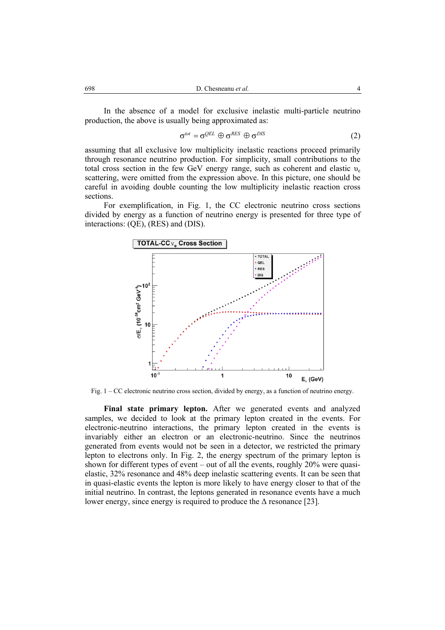In the absence of a model for exclusive inelastic multi-particle neutrino production, the above is usually being approximated as:

$$
\sigma^{tot} = \sigma^{QEL} \oplus \sigma^{RES} \oplus \sigma^{DIS} \tag{2}
$$

assuming that all exclusive low multiplicity inelastic reactions proceed primarily through resonance neutrino production. For simplicity, small contributions to the total cross section in the few GeV energy range, such as coherent and elastic  $v_e$ scattering, were omitted from the expression above. In this picture, one should be careful in avoiding double counting the low multiplicity inelastic reaction cross sections.

For exemplification, in Fig. 1, the CC electronic neutrino cross sections divided by energy as a function of neutrino energy is presented for three type of interactions: (QE), (RES) and (DIS).



Fig. 1 – CC electronic neutrino cross section, divided by energy, as a function of neutrino energy.

**Final state primary lepton.** After we generated events and analyzed samples, we decided to look at the primary lepton created in the events. For electronic-neutrino interactions, the primary lepton created in the events is invariably either an electron or an electronic-neutrino. Since the neutrinos generated from events would not be seen in a detector, we restricted the primary lepton to electrons only. In Fig. 2, the energy spectrum of the primary lepton is shown for different types of event – out of all the events, roughly 20% were quasielastic, 32% resonance and 48% deep inelastic scattering events. It can be seen that in quasi-elastic events the lepton is more likely to have energy closer to that of the initial neutrino. In contrast, the leptons generated in resonance events have a much lower energy, since energy is required to produce the  $\Delta$  resonance [23].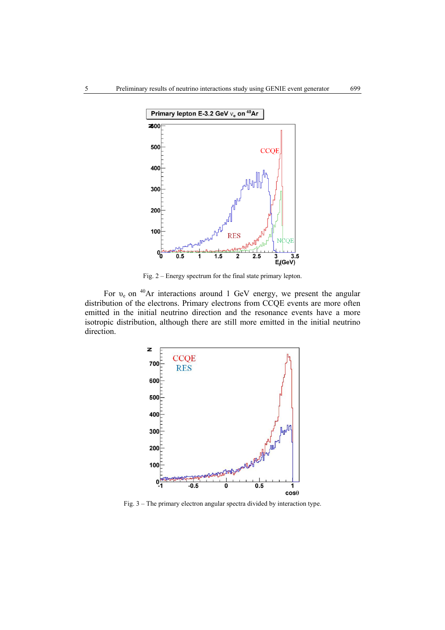

Fig. 2 – Energy spectrum for the final state primary lepton.

For  $v_e$  on <sup>40</sup>Ar interactions around 1 GeV energy, we present the angular distribution of the electrons. Primary electrons from CCQE events are more often emitted in the initial neutrino direction and the resonance events have a more isotropic distribution, although there are still more emitted in the initial neutrino direction.



Fig. 3 – The primary electron angular spectra divided by interaction type.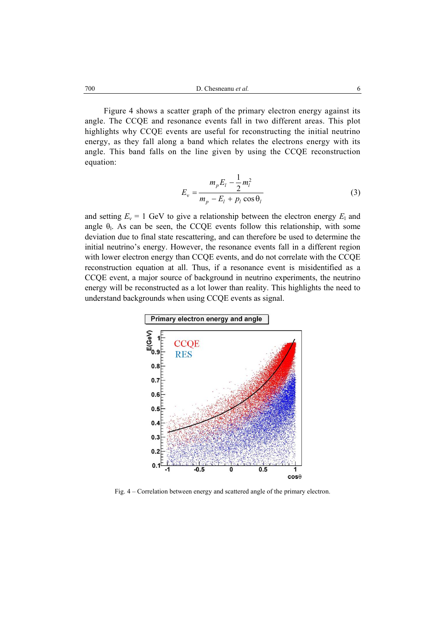Figure 4 shows a scatter graph of the primary electron energy against its angle. The CCQE and resonance events fall in two different areas. This plot highlights why CCQE events are useful for reconstructing the initial neutrino energy, as they fall along a band which relates the electrons energy with its angle. This band falls on the line given by using the CCQE reconstruction equation:

$$
E_{\rm v} = \frac{m_p E_l - \frac{1}{2} m_l^2}{m_p - E_l + p_l \cos \theta_l} \tag{3}
$$

and setting  $E_y = 1$  GeV to give a relationship between the electron energy  $E_1$  and angle  $\theta$ <sub>l</sub>. As can be seen, the CCQE events follow this relationship, with some deviation due to final state rescattering, and can therefore be used to determine the initial neutrino's energy. However, the resonance events fall in a different region with lower electron energy than CCQE events, and do not correlate with the CCQE reconstruction equation at all. Thus, if a resonance event is misidentified as a CCQE event, a major source of background in neutrino experiments, the neutrino energy will be reconstructed as a lot lower than reality. This highlights the need to understand backgrounds when using CCQE events as signal.



Fig. 4 – Correlation between energy and scattered angle of the primary electron.